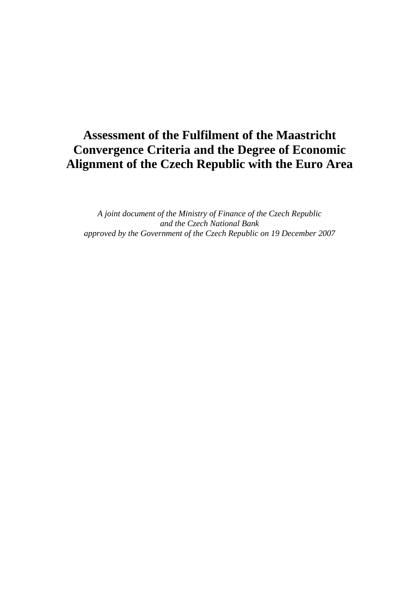# **Assessment of the Fulfilment of the Maastricht Convergence Criteria and the Degree of Economic Alignment of the Czech Republic with the Euro Area**

*A joint document of the Ministry of Finance of the Czech Republic and the Czech National Bank approved by the Government of the Czech Republic on 19 December 2007*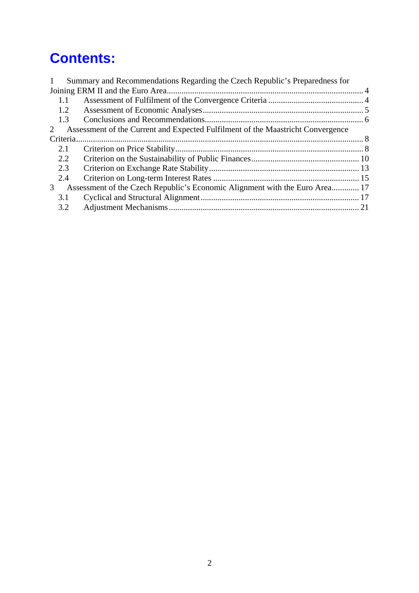# **Contents:**

| 1 |     | Summary and Recommendations Regarding the Czech Republic's Preparedness for     |  |
|---|-----|---------------------------------------------------------------------------------|--|
|   |     |                                                                                 |  |
|   | 1.1 |                                                                                 |  |
|   | 1.2 |                                                                                 |  |
|   | 1.3 |                                                                                 |  |
| 2 |     | Assessment of the Current and Expected Fulfilment of the Maastricht Convergence |  |
|   |     |                                                                                 |  |
|   | 2.1 |                                                                                 |  |
|   | 2.2 |                                                                                 |  |
|   | 2.3 |                                                                                 |  |
|   | 2.4 |                                                                                 |  |
| 3 |     | Assessment of the Czech Republic's Economic Alignment with the Euro Area 17     |  |
|   | 3.1 |                                                                                 |  |
|   | 3.2 |                                                                                 |  |
|   |     |                                                                                 |  |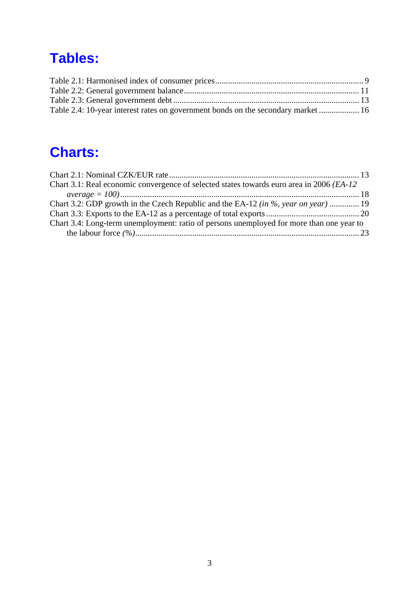# **Tables:**

| Table 2.4: 10-year interest rates on government bonds on the secondary market  16 |  |
|-----------------------------------------------------------------------------------|--|

# **Charts:**

| Chart 3.1: Real economic convergence of selected states towards euro area in 2006 ( <i>EA-12</i> ) |  |
|----------------------------------------------------------------------------------------------------|--|
|                                                                                                    |  |
| Chart 3.2: GDP growth in the Czech Republic and the EA-12 (in %, year on year)  19                 |  |
|                                                                                                    |  |
| Chart 3.4: Long-term unemployment: ratio of persons unemployed for more than one year to           |  |
|                                                                                                    |  |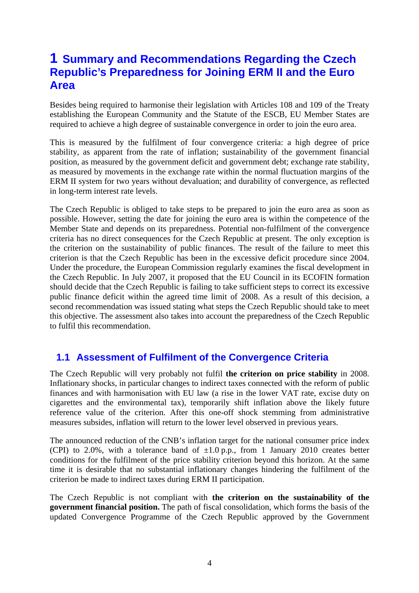# **1 Summary and Recommendations Regarding the Czech Republic's Preparedness for Joining ERM II and the Euro Area**

Besides being required to harmonise their legislation with Articles 108 and 109 of the Treaty establishing the European Community and the Statute of the ESCB, EU Member States are required to achieve a high degree of sustainable convergence in order to join the euro area.

This is measured by the fulfilment of four convergence criteria: a high degree of price stability, as apparent from the rate of inflation; sustainability of the government financial position, as measured by the government deficit and government debt; exchange rate stability, as measured by movements in the exchange rate within the normal fluctuation margins of the ERM II system for two years without devaluation; and durability of convergence, as reflected in long-term interest rate levels.

The Czech Republic is obliged to take steps to be prepared to join the euro area as soon as possible. However, setting the date for joining the euro area is within the competence of the Member State and depends on its preparedness. Potential non-fulfilment of the convergence criteria has no direct consequences for the Czech Republic at present. The only exception is the criterion on the sustainability of public finances. The result of the failure to meet this criterion is that the Czech Republic has been in the excessive deficit procedure since 2004. Under the procedure, the European Commission regularly examines the fiscal development in the Czech Republic. In July 2007, it proposed that the EU Council in its ECOFIN formation should decide that the Czech Republic is failing to take sufficient steps to correct its excessive public finance deficit within the agreed time limit of 2008. As a result of this decision, a second recommendation was issued stating what steps the Czech Republic should take to meet this objective. The assessment also takes into account the preparedness of the Czech Republic to fulfil this recommendation.

## **1.1 Assessment of Fulfilment of the Convergence Criteria**

The Czech Republic will very probably not fulfil **the criterion on price stability** in 2008. Inflationary shocks, in particular changes to indirect taxes connected with the reform of public finances and with harmonisation with EU law (a rise in the lower VAT rate, excise duty on cigarettes and the environmental tax), temporarily shift inflation above the likely future reference value of the criterion. After this one-off shock stemming from administrative measures subsides, inflation will return to the lower level observed in previous years.

The announced reduction of the CNB's inflation target for the national consumer price index (CPI) to 2.0%, with a tolerance band of  $\pm 1.0$  p.p., from 1 January 2010 creates better conditions for the fulfilment of the price stability criterion beyond this horizon. At the same time it is desirable that no substantial inflationary changes hindering the fulfilment of the criterion be made to indirect taxes during ERM II participation.

The Czech Republic is not compliant with **the criterion on the sustainability of the government financial position.** The path of fiscal consolidation, which forms the basis of the updated Convergence Programme of the Czech Republic approved by the Government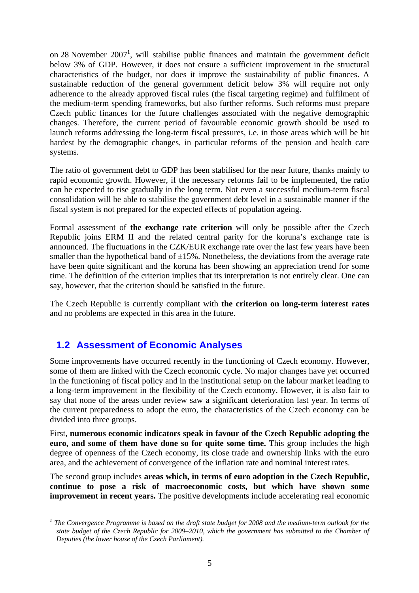on 28 November  $2007<sup>1</sup>$ , will stabilise public finances and maintain the government deficit below 3% of GDP. However, it does not ensure a sufficient improvement in the structural characteristics of the budget, nor does it improve the sustainability of public finances. A sustainable reduction of the general government deficit below 3% will require not only adherence to the already approved fiscal rules (the fiscal targeting regime) and fulfilment of the medium-term spending frameworks, but also further reforms. Such reforms must prepare Czech public finances for the future challenges associated with the negative demographic changes. Therefore, the current period of favourable economic growth should be used to launch reforms addressing the long-term fiscal pressures, i.e. in those areas which will be hit hardest by the demographic changes, in particular reforms of the pension and health care systems.

The ratio of government debt to GDP has been stabilised for the near future, thanks mainly to rapid economic growth. However, if the necessary reforms fail to be implemented, the ratio can be expected to rise gradually in the long term. Not even a successful medium-term fiscal consolidation will be able to stabilise the government debt level in a sustainable manner if the fiscal system is not prepared for the expected effects of population ageing.

Formal assessment of **the exchange rate criterion** will only be possible after the Czech Republic joins ERM II and the related central parity for the koruna's exchange rate is announced. The fluctuations in the CZK/EUR exchange rate over the last few years have been smaller than the hypothetical band of  $\pm 15\%$ . Nonetheless, the deviations from the average rate have been quite significant and the koruna has been showing an appreciation trend for some time. The definition of the criterion implies that its interpretation is not entirely clear. One can say, however, that the criterion should be satisfied in the future.

The Czech Republic is currently compliant with **the criterion on long-term interest rates** and no problems are expected in this area in the future.

## **1.2 Assessment of Economic Analyses**

1

Some improvements have occurred recently in the functioning of Czech economy. However, some of them are linked with the Czech economic cycle. No major changes have yet occurred in the functioning of fiscal policy and in the institutional setup on the labour market leading to a long-term improvement in the flexibility of the Czech economy. However, it is also fair to say that none of the areas under review saw a significant deterioration last year. In terms of the current preparedness to adopt the euro, the characteristics of the Czech economy can be divided into three groups.

First, **numerous economic indicators speak in favour of the Czech Republic adopting the euro, and some of them have done so for quite some time.** This group includes the high degree of openness of the Czech economy, its close trade and ownership links with the euro area, and the achievement of convergence of the inflation rate and nominal interest rates.

The second group includes **areas which, in terms of euro adoption in the Czech Republic, continue to pose a risk of macroeconomic costs, but which have shown some improvement in recent years.** The positive developments include accelerating real economic

<sup>&</sup>lt;sup>1</sup> The Convergence Programme is based on the draft state budget for 2008 and the medium-term outlook for the *state budget of the Czech Republic for 2009–2010, which the government has submitted to the Chamber of Deputies (the lower house of the Czech Parliament).*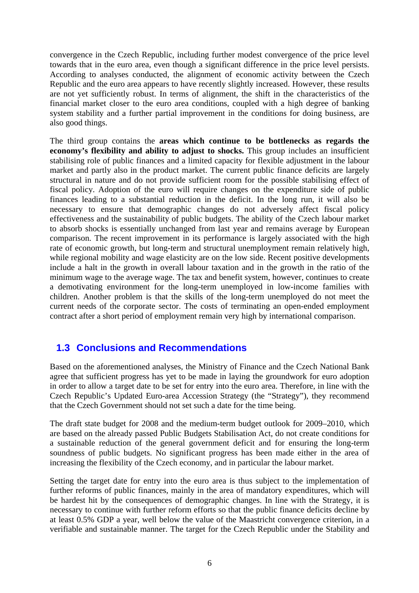convergence in the Czech Republic, including further modest convergence of the price level towards that in the euro area, even though a significant difference in the price level persists. According to analyses conducted, the alignment of economic activity between the Czech Republic and the euro area appears to have recently slightly increased. However, these results are not yet sufficiently robust. In terms of alignment, the shift in the characteristics of the financial market closer to the euro area conditions, coupled with a high degree of banking system stability and a further partial improvement in the conditions for doing business, are also good things.

The third group contains the **areas which continue to be bottlenecks as regards the economy's flexibility and ability to adjust to shocks.** This group includes an insufficient stabilising role of public finances and a limited capacity for flexible adjustment in the labour market and partly also in the product market. The current public finance deficits are largely structural in nature and do not provide sufficient room for the possible stabilising effect of fiscal policy. Adoption of the euro will require changes on the expenditure side of public finances leading to a substantial reduction in the deficit. In the long run, it will also be necessary to ensure that demographic changes do not adversely affect fiscal policy effectiveness and the sustainability of public budgets. The ability of the Czech labour market to absorb shocks is essentially unchanged from last year and remains average by European comparison. The recent improvement in its performance is largely associated with the high rate of economic growth, but long-term and structural unemployment remain relatively high, while regional mobility and wage elasticity are on the low side. Recent positive developments include a halt in the growth in overall labour taxation and in the growth in the ratio of the minimum wage to the average wage. The tax and benefit system, however, continues to create a demotivating environment for the long-term unemployed in low-income families with children. Another problem is that the skills of the long-term unemployed do not meet the current needs of the corporate sector. The costs of terminating an open-ended employment contract after a short period of employment remain very high by international comparison.

## **1.3 Conclusions and Recommendations**

Based on the aforementioned analyses, the Ministry of Finance and the Czech National Bank agree that sufficient progress has yet to be made in laying the groundwork for euro adoption in order to allow a target date to be set for entry into the euro area. Therefore, in line with the Czech Republic's Updated Euro-area Accession Strategy (the "Strategy"), they recommend that the Czech Government should not set such a date for the time being.

The draft state budget for 2008 and the medium-term budget outlook for 2009–2010, which are based on the already passed Public Budgets Stabilisation Act, do not create conditions for a sustainable reduction of the general government deficit and for ensuring the long-term soundness of public budgets. No significant progress has been made either in the area of increasing the flexibility of the Czech economy, and in particular the labour market.

Setting the target date for entry into the euro area is thus subject to the implementation of further reforms of public finances, mainly in the area of mandatory expenditures, which will be hardest hit by the consequences of demographic changes. In line with the Strategy, it is necessary to continue with further reform efforts so that the public finance deficits decline by at least 0.5% GDP a year, well below the value of the Maastricht convergence criterion, in a verifiable and sustainable manner. The target for the Czech Republic under the Stability and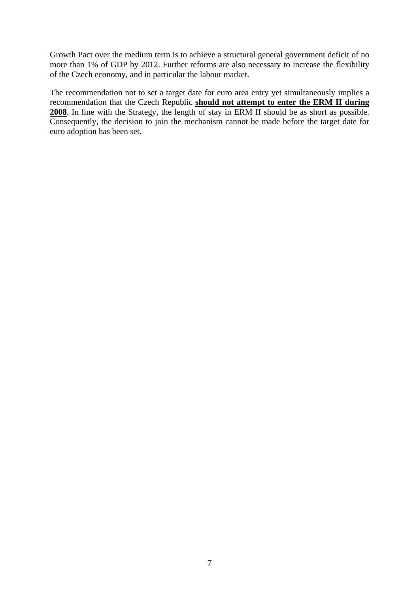Growth Pact over the medium term is to achieve a structural general government deficit of no more than 1% of GDP by 2012. Further reforms are also necessary to increase the flexibility of the Czech economy, and in particular the labour market.

The recommendation not to set a target date for euro area entry yet simultaneously implies a recommendation that the Czech Republic **should not attempt to enter the ERM II during 2008**. In line with the Strategy, the length of stay in ERM II should be as short as possible. Consequently, the decision to join the mechanism cannot be made before the target date for euro adoption has been set.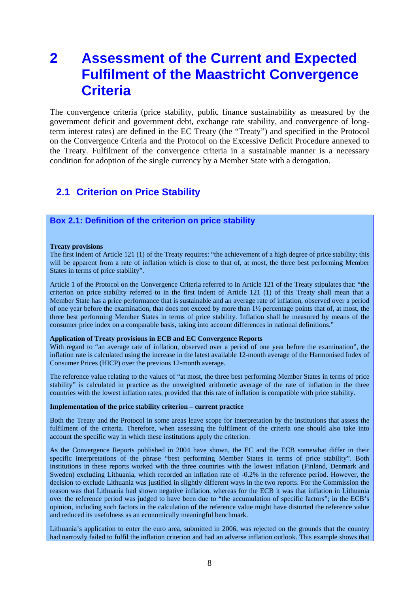# **2 Assessment of the Current and Expected Fulfilment of the Maastricht Convergence Criteria**

The convergence criteria (price stability, public finance sustainability as measured by the government deficit and government debt, exchange rate stability, and convergence of longterm interest rates) are defined in the EC Treaty (the "Treaty") and specified in the Protocol on the Convergence Criteria and the Protocol on the Excessive Deficit Procedure annexed to the Treaty. Fulfilment of the convergence criteria in a sustainable manner is a necessary condition for adoption of the single currency by a Member State with a derogation.

## **2.1 Criterion on Price Stability**

### **Box 2.1: Definition of the criterion on price stability**

#### **Treaty provisions**

The first indent of Article 121 (1) of the Treaty requires: "the achievement of a high degree of price stability; this will be apparent from a rate of inflation which is close to that of, at most, the three best performing Member States in terms of price stability".

Article 1 of the Protocol on the Convergence Criteria referred to in Article 121 of the Treaty stipulates that: "the criterion on price stability referred to in the first indent of Article 121 (1) of this Treaty shall mean that a Member State has a price performance that is sustainable and an average rate of inflation, observed over a period of one year before the examination, that does not exceed by more than 1½ percentage points that of, at most, the three best performing Member States in terms of price stability. Inflation shall be measured by means of the consumer price index on a comparable basis, taking into account differences in national definitions."

#### **Application of Treaty provisions in ECB and EC Convergence Reports**

With regard to "an average rate of inflation, observed over a period of one year before the examination", the inflation rate is calculated using the increase in the latest available 12-month average of the Harmonised Index of Consumer Prices (HICP) over the previous 12-month average.

The reference value relating to the values of "at most, the three best performing Member States in terms of price stability" is calculated in practice as the unweighted arithmetic average of the rate of inflation in the three countries with the lowest inflation rates, provided that this rate of inflation is compatible with price stability.

#### **Implementation of the price stability criterion – current practice**

Both the Treaty and the Protocol in some areas leave scope for interpretation by the institutions that assess the fulfilment of the criteria. Therefore, when assessing the fulfilment of the criteria one should also take into account the specific way in which these institutions apply the criterion.

As the Convergence Reports published in 2004 have shown, the EC and the ECB somewhat differ in their specific interpretations of the phrase "best performing Member States in terms of price stability". Both institutions in these reports worked with the three countries with the lowest inflation (Finland, Denmark and Sweden) excluding Lithuania, which recorded an inflation rate of -0.2% in the reference period. However, the decision to exclude Lithuania was justified in slightly different ways in the two reports. For the Commission the reason was that Lithuania had shown negative inflation, whereas for the ECB it was that inflation in Lithuania over the reference period was judged to have been due to "the accumulation of specific factors"; in the ECB's opinion, including such factors in the calculation of the reference value might have distorted the reference value and reduced its usefulness as an economically meaningful benchmark.

Lithuania's application to enter the euro area, submitted in 2006, was rejected on the grounds that the country had narrowly failed to fulfil the inflation criterion and had an adverse inflation outlook. This example shows that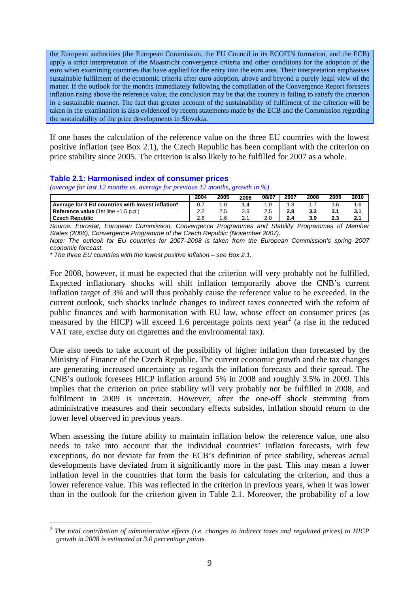the European authorities (the European Commission, the EU Council in its ECOFIN formation, and the ECB) apply a strict interpretation of the Maastricht convergence criteria and other conditions for the adoption of the euro when examining countries that have applied for the entry into the euro area. Their interpretation emphasises sustainable fulfilment of the economic criteria after euro adoption, above and beyond a purely legal view of the matter. If the outlook for the months immediately following the compilation of the Convergence Report foresees inflation rising above the reference value, the conclusion may be that the country is failing to satisfy the criterion in a sustainable manner. The fact that greater account of the sustainability of fulfilment of the criterion will be taken in the examination is also evidenced by recent statements made by the ECB and the Commission regarding the sustainability of the price developments in Slovakia.

If one bases the calculation of the reference value on the three EU countries with the lowest positive inflation (see Box 2.1), the Czech Republic has been compliant with the criterion on price stability since 2005. The criterion is also likely to be fulfilled for 2007 as a whole.

## **Table 2.1: Harmonised index of consumer prices**

*(average for last 12 months vs. average for previous 12 months, growth in %)* 

|                                                   | 2004 | 2005 | 2006 | 08/07 | 2007 | 2008 | 2009 | 2010 |
|---------------------------------------------------|------|------|------|-------|------|------|------|------|
| Average for 3 EU countries with lowest inflation* |      |      |      |       |      |      |      |      |
| Reference value $(1st$ line $+1.5$ p.p.)          |      |      | 2.9  |       | 2.8  |      |      |      |
| <b>Czech Republic</b>                             |      | 1.6  | 21   |       |      |      |      |      |

*Source: Eurostat, European Commission, Convergence Programmes and Stability Programmes of Member States (2006), Convergence Programme of the Czech Republic (November 2007).* 

*Note: The outlook for EU countries for 2007–2008 is taken from the European Commission's spring 2007 economic forecast.* 

*\* The three EU countries with the lowest positive inflation – see Box 2.1.* 

For 2008, however, it must be expected that the criterion will very probably not be fulfilled. Expected inflationary shocks will shift inflation temporarily above the CNB's current inflation target of 3% and will thus probably cause the reference value to be exceeded. In the current outlook, such shocks include changes to indirect taxes connected with the reform of public finances and with harmonisation with EU law, whose effect on consumer prices (as measured by the HICP) will exceed 1.6 percentage points next year<sup>2</sup> (a rise in the reduced VAT rate, excise duty on cigarettes and the environmental tax).

One also needs to take account of the possibility of higher inflation than forecasted by the Ministry of Finance of the Czech Republic. The current economic growth and the tax changes are generating increased uncertainty as regards the inflation forecasts and their spread. The CNB's outlook foresees HICP inflation around 5% in 2008 and roughly 3.5% in 2009. This implies that the criterion on price stability will very probably not be fulfilled in 2008, and fulfilment in 2009 is uncertain. However, after the one-off shock stemming from administrative measures and their secondary effects subsides, inflation should return to the lower level observed in previous years.

When assessing the future ability to maintain inflation below the reference value, one also needs to take into account that the individual countries' inflation forecasts, with few exceptions, do not deviate far from the ECB's definition of price stability, whereas actual developments have deviated from it significantly more in the past. This may mean a lower inflation level in the countries that form the basis for calculating the criterion, and thus a lower reference value. This was reflected in the criterion in previous years, when it was lower than in the outlook for the criterion given in Table 2.1. Moreover, the probability of a low

<sup>1</sup> <sup>2</sup> The total contribution of administrative effects (i.e. changes to indirect taxes and regulated prices) to HICP *growth in 2008 is estimated at 3.0 percentage points.*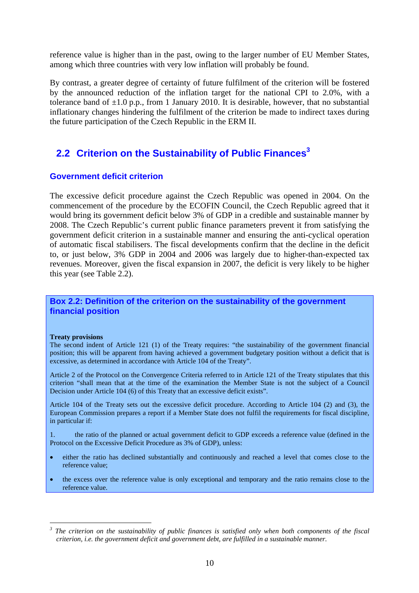reference value is higher than in the past, owing to the larger number of EU Member States, among which three countries with very low inflation will probably be found.

By contrast, a greater degree of certainty of future fulfilment of the criterion will be fostered by the announced reduction of the inflation target for the national CPI to 2.0%, with a tolerance band of  $\pm 1.0$  p.p., from 1 January 2010. It is desirable, however, that no substantial inflationary changes hindering the fulfilment of the criterion be made to indirect taxes during the future participation of the Czech Republic in the ERM II.

# **2.2 Criterion on the Sustainability of Public Finances<sup>3</sup>**

## **Government deficit criterion**

The excessive deficit procedure against the Czech Republic was opened in 2004. On the commencement of the procedure by the ECOFIN Council, the Czech Republic agreed that it would bring its government deficit below 3% of GDP in a credible and sustainable manner by 2008. The Czech Republic's current public finance parameters prevent it from satisfying the government deficit criterion in a sustainable manner and ensuring the anti-cyclical operation of automatic fiscal stabilisers. The fiscal developments confirm that the decline in the deficit to, or just below, 3% GDP in 2004 and 2006 was largely due to higher-than-expected tax revenues. Moreover, given the fiscal expansion in 2007, the deficit is very likely to be higher this year (see Table 2.2).

## **Box 2.2: Definition of the criterion on the sustainability of the government financial position**

#### **Treaty provisions**

1

The second indent of Article 121 (1) of the Treaty requires: "the sustainability of the government financial position; this will be apparent from having achieved a government budgetary position without a deficit that is excessive, as determined in accordance with Article 104 of the Treaty".

Article 2 of the Protocol on the Convergence Criteria referred to in Article 121 of the Treaty stipulates that this criterion "shall mean that at the time of the examination the Member State is not the subject of a Council Decision under Article 104 (6) of this Treaty that an excessive deficit exists".

Article 104 of the Treaty sets out the excessive deficit procedure. According to Article 104 (2) and (3), the European Commission prepares a report if a Member State does not fulfil the requirements for fiscal discipline, in particular if:

1. the ratio of the planned or actual government deficit to GDP exceeds a reference value (defined in the Protocol on the Excessive Deficit Procedure as 3% of GDP), unless:

- either the ratio has declined substantially and continuously and reached a level that comes close to the reference value;
- the excess over the reference value is only exceptional and temporary and the ratio remains close to the reference value.

*<sup>3</sup> The criterion on the sustainability of public finances is satisfied only when both components of the fiscal criterion, i.e. the government deficit and government debt, are fulfilled in a sustainable manner.*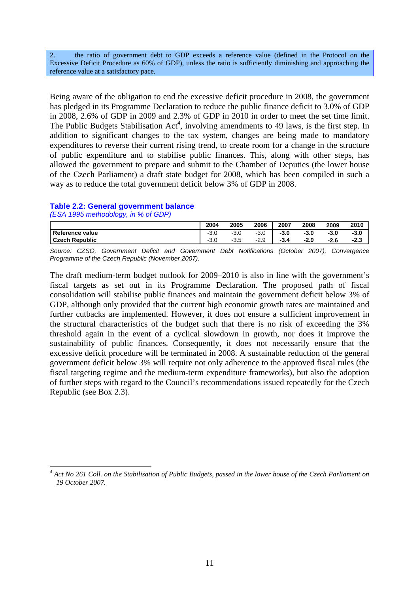2. the ratio of government debt to GDP exceeds a reference value (defined in the Protocol on the Excessive Deficit Procedure as 60% of GDP), unless the ratio is sufficiently diminishing and approaching the reference value at a satisfactory pace.

Being aware of the obligation to end the excessive deficit procedure in 2008, the government has pledged in its Programme Declaration to reduce the public finance deficit to 3.0% of GDP in 2008, 2.6% of GDP in 2009 and 2.3% of GDP in 2010 in order to meet the set time limit. The Public Budgets Stabilisation  $Act<sup>4</sup>$ , involving amendments to 49 laws, is the first step. In addition to significant changes to the tax system, changes are being made to mandatory expenditures to reverse their current rising trend, to create room for a change in the structure of public expenditure and to stabilise public finances. This, along with other steps, has allowed the government to prepare and submit to the Chamber of Deputies (the lower house of the Czech Parliament) a draft state budget for 2008, which has been compiled in such a way as to reduce the total government deficit below 3% of GDP in 2008.

## **Table 2.2: General government balance**

*(ESA 1995 methodology, in % of GDP)* 

1

|                                                     |        |      |        | 2009   | 2010 |
|-----------------------------------------------------|--------|------|--------|--------|------|
| Reference value<br>$-3.0$<br>∩ פ<br>-3.U            | $-3.0$ | -3.0 | $-3.0$ | $-3.0$ | -3.0 |
| <b>Czech Republic</b><br>$\Omega$<br>$-3.5$<br>-ə.u | $-2.9$ | -3.4 | $-2.9$ | $-2.6$ | -2.3 |

*Source: CZSO, Government Deficit and Government Debt Notifications (October 2007), Convergence Programme of the Czech Republic (November 2007).*

The draft medium-term budget outlook for 2009–2010 is also in line with the government's fiscal targets as set out in its Programme Declaration. The proposed path of fiscal consolidation will stabilise public finances and maintain the government deficit below 3% of GDP, although only provided that the current high economic growth rates are maintained and further cutbacks are implemented. However, it does not ensure a sufficient improvement in the structural characteristics of the budget such that there is no risk of exceeding the 3% threshold again in the event of a cyclical slowdown in growth, nor does it improve the sustainability of public finances. Consequently, it does not necessarily ensure that the excessive deficit procedure will be terminated in 2008. A sustainable reduction of the general government deficit below 3% will require not only adherence to the approved fiscal rules (the fiscal targeting regime and the medium-term expenditure frameworks), but also the adoption of further steps with regard to the Council's recommendations issued repeatedly for the Czech Republic (see Box 2.3).

<sup>&</sup>lt;sup>4</sup> Act No 261 Coll. on the Stabilisation of Public Budgets, passed in the lower house of the Czech Parliament on *19 October 2007.*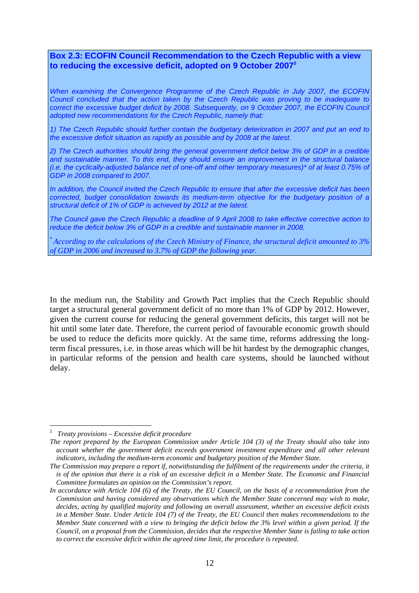## **Box 2.3: ECOFIN Council Recommendation to the Czech Republic with a view to reducing the excessive deficit, adopted on 9 October 2007***<sup>5</sup>*

*When examining the Convergence Programme of the Czech Republic in July 2007, the ECOFIN Council concluded that the action taken by the Czech Republic was proving to be inadequate to correct the excessive budget deficit by 2008. Subsequently, on 9 October 2007, the ECOFIN Council adopted new recommendations for the Czech Republic, namely that:*

*1) The Czech Republic should further contain the budgetary deterioration in 2007 and put an end to the excessive deficit situation as rapidly as possible and by 2008 at the latest.* 

*2) The Czech authorities should bring the general government deficit below 3% of GDP in a credible and sustainable manner. To this end, they should ensure an improvement in the structural balance (i.e. the cyclically-adjusted balance net of one-off and other temporary measures)\* of at least 0.75% of GDP in 2008 compared to 2007.*

*In addition, the Council invited the Czech Republic to ensure that after the excessive deficit has been corrected, budget consolidation towards its medium-term objective for the budgetary position of a structural deficit of 1% of GDP is achieved by 2012 at the latest.* 

*The Council gave the Czech Republic a deadline of 9 April 2008 to take effective corrective action to reduce the deficit below 3% of GDP in a credible and sustainable manner in 2008.* 

\* *According to the calculations of the Czech Ministry of Finance, the structural deficit amounted to 3% of GDP in 2006 and increased to 3.7% of GDP the following year.* 

In the medium run, the Stability and Growth Pact implies that the Czech Republic should target a structural general government deficit of no more than 1% of GDP by 2012. However, given the current course for reducing the general government deficits, this target will not be hit until some later date. Therefore, the current period of favourable economic growth should be used to reduce the deficits more quickly. At the same time, reforms addressing the longterm fiscal pressures, i.e. in those areas which will be hit hardest by the demographic changes, in particular reforms of the pension and health care systems, should be launched without delay.

<u>.</u>

*<sup>5</sup> Treaty provisions – Excessive deficit procedure* 

*The report prepared by the European Commission under Article 104 (3) of the Treaty should also take into account whether the government deficit exceeds government investment expenditure and all other relevant indicators, including the medium-term economic and budgetary position of the Member State.* 

*The Commission may prepare a report if, notwithstanding the fulfilment of the requirements under the criteria, it is of the opinion that there is a risk of an excessive deficit in a Member State. The Economic and Financial Committee formulates an opinion on the Commission's report.* 

*In accordance with Article 104 (6) of the Treaty, the EU Council, on the basis of a recommendation from the Commission and having considered any observations which the Member State concerned may wish to make, decides, acting by qualified majority and following an overall assessment, whether an excessive deficit exists in a Member State. Under Article 104 (7) of the Treaty, the EU Council then makes recommendations to the Member State concerned with a view to bringing the deficit below the 3% level within a given period. If the Council, on a proposal from the Commission, decides that the respective Member State is failing to take action to correct the excessive deficit within the agreed time limit, the procedure is repeated.*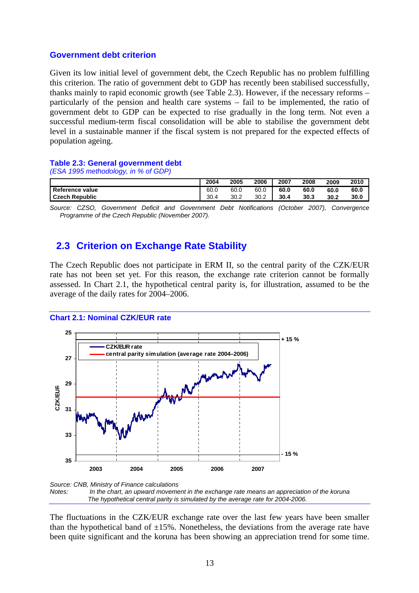### **Government debt criterion**

Given its low initial level of government debt, the Czech Republic has no problem fulfilling this criterion. The ratio of government debt to GDP has recently been stabilised successfully, thanks mainly to rapid economic growth (see Table 2.3). However, if the necessary reforms  $$ particularly of the pension and health care systems – fail to be implemented, the ratio of government debt to GDP can be expected to rise gradually in the long term. Not even a successful medium-term fiscal consolidation will be able to stabilise the government debt level in a sustainable manner if the fiscal system is not prepared for the expected effects of population ageing.

### **Table 2.3: General government debt**

*(ESA 1995 methodology, in % of GDP)* 

|                       | 2004 | 2005 | 2006 | 2007 | 2008 | 2009 | 2010 |
|-----------------------|------|------|------|------|------|------|------|
| Reference value       | 60.0 | 60.0 | 60.0 | 60.0 | 60.0 | 60.0 | 60.0 |
| <b>Czech Republic</b> | 30.4 | 30.2 | 30.2 | 30.4 | 30.3 | 30.2 | 30.0 |

*Source: CZSO, Government Deficit and Government Debt Notifications (October 2007), Convergence Programme of the Czech Republic (November 2007).* 

## **2.3 Criterion on Exchange Rate Stability**

The Czech Republic does not participate in ERM II, so the central parity of the CZK/EUR rate has not been set yet. For this reason, the exchange rate criterion cannot be formally assessed. In Chart 2.1, the hypothetical central parity is, for illustration, assumed to be the average of the daily rates for 2004–2006.

### **Chart 2.1: Nominal CZK/EUR rate**



*Source: CNB, Ministry of Finance calculations Notes: In the chart, an upward movement in the exchange rate means an appreciation of the koruna The hypothetical central parity is simulated by the average rate for 2004-2006.* 

The fluctuations in the CZK/EUR exchange rate over the last few years have been smaller than the hypothetical band of  $\pm 15\%$ . Nonetheless, the deviations from the average rate have been quite significant and the koruna has been showing an appreciation trend for some time.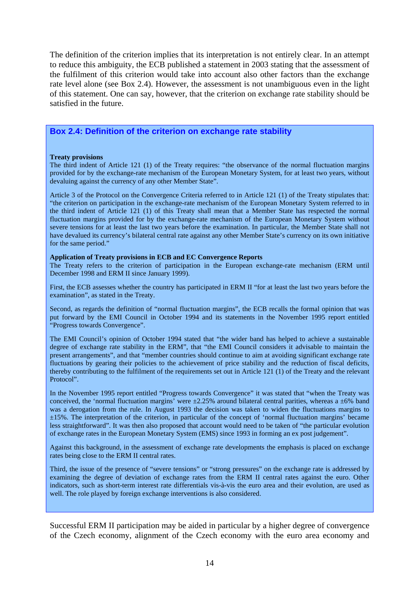The definition of the criterion implies that its interpretation is not entirely clear. In an attempt to reduce this ambiguity, the ECB published a statement in 2003 stating that the assessment of the fulfilment of this criterion would take into account also other factors than the exchange rate level alone (see Box 2.4). However, the assessment is not unambiguous even in the light of this statement. One can say, however, that the criterion on exchange rate stability should be satisfied in the future.

## **Box 2.4: Definition of the criterion on exchange rate stability**

#### **Treaty provisions**

The third indent of Article 121 (1) of the Treaty requires: "the observance of the normal fluctuation margins provided for by the exchange-rate mechanism of the European Monetary System, for at least two years, without devaluing against the currency of any other Member State".

Article 3 of the Protocol on the Convergence Criteria referred to in Article 121 (1) of the Treaty stipulates that: "the criterion on participation in the exchange-rate mechanism of the European Monetary System referred to in the third indent of Article 121 (1) of this Treaty shall mean that a Member State has respected the normal fluctuation margins provided for by the exchange-rate mechanism of the European Monetary System without severe tensions for at least the last two years before the examination. In particular, the Member State shall not have devalued its currency's bilateral central rate against any other Member State's currency on its own initiative for the same period."

### **Application of Treaty provisions in ECB and EC Convergence Reports**

The Treaty refers to the criterion of participation in the European exchange-rate mechanism (ERM until December 1998 and ERM II since January 1999).

First, the ECB assesses whether the country has participated in ERM II "for at least the last two years before the examination", as stated in the Treaty.

Second, as regards the definition of "normal fluctuation margins", the ECB recalls the formal opinion that was put forward by the EMI Council in October 1994 and its statements in the November 1995 report entitled "Progress towards Convergence".

The EMI Council's opinion of October 1994 stated that "the wider band has helped to achieve a sustainable degree of exchange rate stability in the ERM", that "the EMI Council considers it advisable to maintain the present arrangements", and that "member countries should continue to aim at avoiding significant exchange rate fluctuations by gearing their policies to the achievement of price stability and the reduction of fiscal deficits, thereby contributing to the fulfilment of the requirements set out in Article 121 (1) of the Treaty and the relevant Protocol".

In the November 1995 report entitled "Progress towards Convergence" it was stated that "when the Treaty was conceived, the 'normal fluctuation margins' were  $\pm 2.25\%$  around bilateral central parities, whereas a  $\pm 6\%$  band was a derogation from the rule. In August 1993 the decision was taken to widen the fluctuations margins to ±15%. The interpretation of the criterion, in particular of the concept of 'normal fluctuation margins' became less straightforward". It was then also proposed that account would need to be taken of "the particular evolution of exchange rates in the European Monetary System (EMS) since 1993 in forming an ex post judgement".

Against this background, in the assessment of exchange rate developments the emphasis is placed on exchange rates being close to the ERM II central rates.

Third, the issue of the presence of "severe tensions" or "strong pressures" on the exchange rate is addressed by examining the degree of deviation of exchange rates from the ERM II central rates against the euro. Other indicators, such as short-term interest rate differentials vis-à-vis the euro area and their evolution, are used as well. The role played by foreign exchange interventions is also considered.

Successful ERM II participation may be aided in particular by a higher degree of convergence of the Czech economy, alignment of the Czech economy with the euro area economy and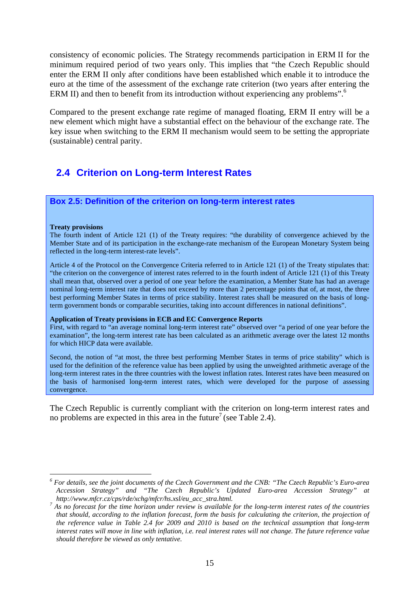consistency of economic policies. The Strategy recommends participation in ERM II for the minimum required period of two years only. This implies that "the Czech Republic should enter the ERM II only after conditions have been established which enable it to introduce the euro at the time of the assessment of the exchange rate criterion (two years after entering the ERM II) and then to benefit from its introduction without experiencing any problems".<sup>6</sup>

Compared to the present exchange rate regime of managed floating, ERM II entry will be a new element which might have a substantial effect on the behaviour of the exchange rate. The key issue when switching to the ERM II mechanism would seem to be setting the appropriate (sustainable) central parity.

# **2.4 Criterion on Long-term Interest Rates**

## **Box 2.5: Definition of the criterion on long-term interest rates**

#### **Treaty provisions**

1

The fourth indent of Article 121 (1) of the Treaty requires: "the durability of convergence achieved by the Member State and of its participation in the exchange-rate mechanism of the European Monetary System being reflected in the long-term interest-rate levels".

Article 4 of the Protocol on the Convergence Criteria referred to in Article 121 (1) of the Treaty stipulates that: "the criterion on the convergence of interest rates referred to in the fourth indent of Article 121 (1) of this Treaty shall mean that, observed over a period of one year before the examination, a Member State has had an average nominal long-term interest rate that does not exceed by more than 2 percentage points that of, at most, the three best performing Member States in terms of price stability. Interest rates shall be measured on the basis of longterm government bonds or comparable securities, taking into account differences in national definitions".

### **Application of Treaty provisions in ECB and EC Convergence Reports**

First, with regard to "an average nominal long-term interest rate" observed over "a period of one year before the examination", the long-term interest rate has been calculated as an arithmetic average over the latest 12 months for which HICP data were available.

Second, the notion of "at most, the three best performing Member States in terms of price stability" which is used for the definition of the reference value has been applied by using the unweighted arithmetic average of the long-term interest rates in the three countries with the lowest inflation rates. Interest rates have been measured on the basis of harmonised long-term interest rates, which were developed for the purpose of assessing convergence.

The Czech Republic is currently compliant with the criterion on long-term interest rates and no problems are expected in this area in the future<sup>7</sup> (see Table 2.4).

*<sup>6</sup> For details, see the joint documents of the Czech Government and the CNB: "The Czech Republic's Euro-area Accession Strategy" and "The Czech Republic's Updated Euro-area Accession Strategy" at* 

http://www.mfcr.cz/cps/rde/xchg/mfcr/hs.xsl/eu\_acc\_stra.html.<br><sup>7</sup> As no forecast for the time horizon under review is available for the long-term interest rates of the countries *that should, according to the inflation forecast, form the basis for calculating the criterion, the projection of the reference value in Table 2.4 for 2009 and 2010 is based on the technical assumption that long-term interest rates will move in line with inflation, i.e. real interest rates will not change. The future reference value should therefore be viewed as only tentative.*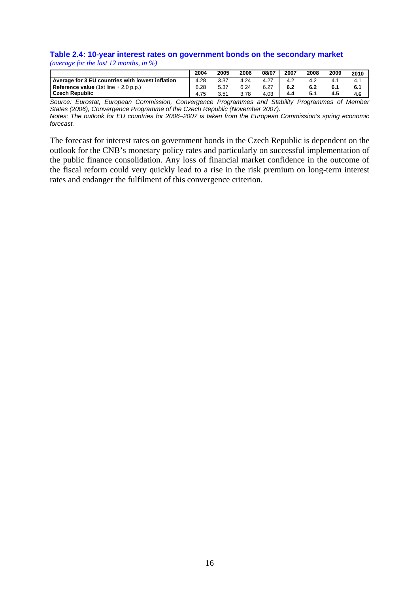### **Table 2.4: 10-year interest rates on government bonds on the secondary market**  *(average for the last 12 months, in %)*

|                                                  | 2004 | 2005 | 2006 | 08/07 | 2007 | 2008 | 2009 | 2010 |
|--------------------------------------------------|------|------|------|-------|------|------|------|------|
| Average for 3 EU countries with lowest inflation |      | 3.37 | 4.24 | 4.27  |      |      |      | 4.1  |
| Reference value $(1st line + 2.0 p.p.)$          |      | 5.37 | 6.24 | 6.27  | 6.2  |      |      | 6.1  |
| Czech Republic                                   |      | 3.51 | 3.78 | 4.03  | 4.4  | 5.1  | 4.5  | 4.6  |

*Source: Eurostat, European Commission, Convergence Programmes and Stability Programmes of Member States (2006), Convergence Programme of the Czech Republic (November 2007).*

*Notes: The outlook for EU countries for 2006–2007 is taken from the European Commission's spring economic forecast.* 

The forecast for interest rates on government bonds in the Czech Republic is dependent on the outlook for the CNB's monetary policy rates and particularly on successful implementation of the public finance consolidation. Any loss of financial market confidence in the outcome of the fiscal reform could very quickly lead to a rise in the risk premium on long-term interest rates and endanger the fulfilment of this convergence criterion.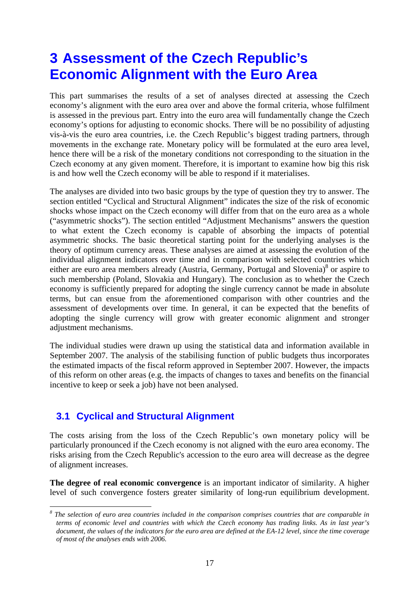# **3 Assessment of the Czech Republic's Economic Alignment with the Euro Area**

This part summarises the results of a set of analyses directed at assessing the Czech economy's alignment with the euro area over and above the formal criteria, whose fulfilment is assessed in the previous part. Entry into the euro area will fundamentally change the Czech economy's options for adjusting to economic shocks. There will be no possibility of adjusting vis-à-vis the euro area countries, i.e. the Czech Republic's biggest trading partners, through movements in the exchange rate. Monetary policy will be formulated at the euro area level, hence there will be a risk of the monetary conditions not corresponding to the situation in the Czech economy at any given moment. Therefore, it is important to examine how big this risk is and how well the Czech economy will be able to respond if it materialises.

The analyses are divided into two basic groups by the type of question they try to answer. The section entitled "Cyclical and Structural Alignment" indicates the size of the risk of economic shocks whose impact on the Czech economy will differ from that on the euro area as a whole ("asymmetric shocks"). The section entitled "Adjustment Mechanisms" answers the question to what extent the Czech economy is capable of absorbing the impacts of potential asymmetric shocks. The basic theoretical starting point for the underlying analyses is the theory of optimum currency areas. These analyses are aimed at assessing the evolution of the individual alignment indicators over time and in comparison with selected countries which either are euro area members already (Austria, Germany, Portugal and Slovenia)<sup>8</sup> or aspire to such membership (Poland, Slovakia and Hungary). The conclusion as to whether the Czech economy is sufficiently prepared for adopting the single currency cannot be made in absolute terms, but can ensue from the aforementioned comparison with other countries and the assessment of developments over time. In general, it can be expected that the benefits of adopting the single currency will grow with greater economic alignment and stronger adjustment mechanisms.

The individual studies were drawn up using the statistical data and information available in September 2007. The analysis of the stabilising function of public budgets thus incorporates the estimated impacts of the fiscal reform approved in September 2007. However, the impacts of this reform on other areas (e.g. the impacts of changes to taxes and benefits on the financial incentive to keep or seek a job) have not been analysed.

# **3.1 Cyclical and Structural Alignment**

1

The costs arising from the loss of the Czech Republic's own monetary policy will be particularly pronounced if the Czech economy is not aligned with the euro area economy. The risks arising from the Czech Republic's accession to the euro area will decrease as the degree of alignment increases.

**The degree of real economic convergence** is an important indicator of similarity. A higher level of such convergence fosters greater similarity of long-run equilibrium development.

<sup>&</sup>lt;sup>8</sup> The selection of euro area countries included in the comparison comprises countries that are comparable in *terms of economic level and countries with which the Czech economy has trading links. As in last year's document, the values of the indicators for the euro area are defined at the EA-12 level, since the time coverage of most of the analyses ends with 2006.*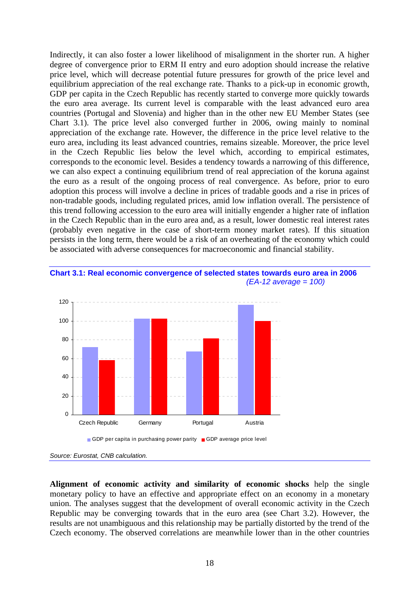Indirectly, it can also foster a lower likelihood of misalignment in the shorter run. A higher degree of convergence prior to ERM II entry and euro adoption should increase the relative price level, which will decrease potential future pressures for growth of the price level and equilibrium appreciation of the real exchange rate. Thanks to a pick-up in economic growth, GDP per capita in the Czech Republic has recently started to converge more quickly towards the euro area average. Its current level is comparable with the least advanced euro area countries (Portugal and Slovenia) and higher than in the other new EU Member States (see Chart 3.1). The price level also converged further in 2006, owing mainly to nominal appreciation of the exchange rate. However, the difference in the price level relative to the euro area, including its least advanced countries, remains sizeable. Moreover, the price level in the Czech Republic lies below the level which, according to empirical estimates, corresponds to the economic level. Besides a tendency towards a narrowing of this difference, we can also expect a continuing equilibrium trend of real appreciation of the koruna against the euro as a result of the ongoing process of real convergence. As before, prior to euro adoption this process will involve a decline in prices of tradable goods and a rise in prices of non-tradable goods, including regulated prices, amid low inflation overall. The persistence of this trend following accession to the euro area will initially engender a higher rate of inflation in the Czech Republic than in the euro area and, as a result, lower domestic real interest rates (probably even negative in the case of short-term money market rates). If this situation persists in the long term, there would be a risk of an overheating of the economy which could be associated with adverse consequences for macroeconomic and financial stability.





**Alignment of economic activity and similarity of economic shocks** help the single monetary policy to have an effective and appropriate effect on an economy in a monetary union. The analyses suggest that the development of overall economic activity in the Czech Republic may be converging towards that in the euro area (see Chart 3.2). However, the results are not unambiguous and this relationship may be partially distorted by the trend of the Czech economy. The observed correlations are meanwhile lower than in the other countries

*Source: Eurostat, CNB calculation.*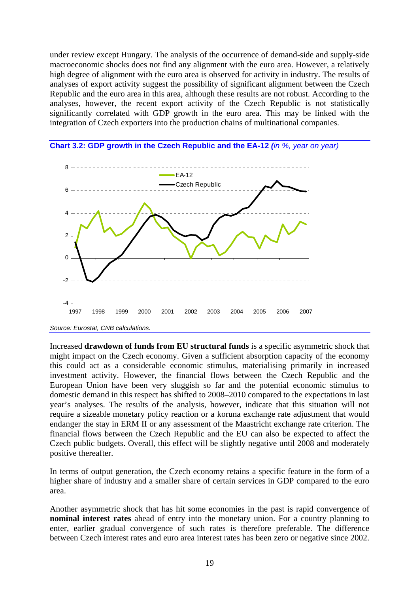under review except Hungary. The analysis of the occurrence of demand-side and supply-side macroeconomic shocks does not find any alignment with the euro area. However, a relatively high degree of alignment with the euro area is observed for activity in industry. The results of analyses of export activity suggest the possibility of significant alignment between the Czech Republic and the euro area in this area, although these results are not robust. According to the analyses, however, the recent export activity of the Czech Republic is not statistically significantly correlated with GDP growth in the euro area. This may be linked with the integration of Czech exporters into the production chains of multinational companies.





Increased **drawdown of funds from EU structural funds** is a specific asymmetric shock that might impact on the Czech economy. Given a sufficient absorption capacity of the economy this could act as a considerable economic stimulus, materialising primarily in increased investment activity. However, the financial flows between the Czech Republic and the European Union have been very sluggish so far and the potential economic stimulus to domestic demand in this respect has shifted to 2008–2010 compared to the expectations in last year's analyses. The results of the analysis, however, indicate that this situation will not require a sizeable monetary policy reaction or a koruna exchange rate adjustment that would endanger the stay in ERM II or any assessment of the Maastricht exchange rate criterion. The financial flows between the Czech Republic and the EU can also be expected to affect the Czech public budgets. Overall, this effect will be slightly negative until 2008 and moderately positive thereafter.

In terms of output generation, the Czech economy retains a specific feature in the form of a higher share of industry and a smaller share of certain services in GDP compared to the euro area.

Another asymmetric shock that has hit some economies in the past is rapid convergence of **nominal interest rates** ahead of entry into the monetary union. For a country planning to enter, earlier gradual convergence of such rates is therefore preferable. The difference between Czech interest rates and euro area interest rates has been zero or negative since 2002.

*Source: Eurostat, CNB calculations.*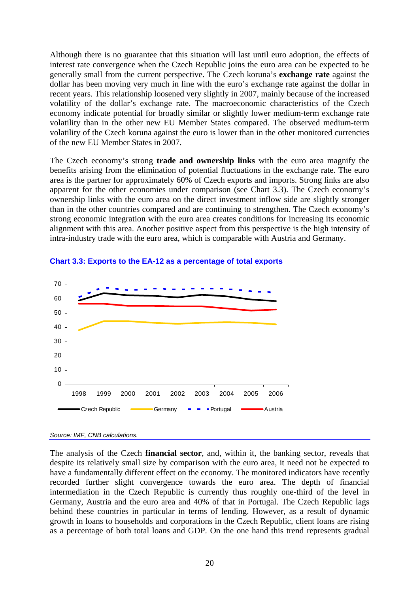Although there is no guarantee that this situation will last until euro adoption, the effects of interest rate convergence when the Czech Republic joins the euro area can be expected to be generally small from the current perspective. The Czech koruna's **exchange rate** against the dollar has been moving very much in line with the euro's exchange rate against the dollar in recent years. This relationship loosened very slightly in 2007, mainly because of the increased volatility of the dollar's exchange rate. The macroeconomic characteristics of the Czech economy indicate potential for broadly similar or slightly lower medium-term exchange rate volatility than in the other new EU Member States compared. The observed medium-term volatility of the Czech koruna against the euro is lower than in the other monitored currencies of the new EU Member States in 2007.

The Czech economy's strong **trade and ownership links** with the euro area magnify the benefits arising from the elimination of potential fluctuations in the exchange rate. The euro area is the partner for approximately 60% of Czech exports and imports. Strong links are also apparent for the other economies under comparison (see Chart 3.3). The Czech economy's ownership links with the euro area on the direct investment inflow side are slightly stronger than in the other countries compared and are continuing to strengthen. The Czech economy's strong economic integration with the euro area creates conditions for increasing its economic alignment with this area. Another positive aspect from this perspective is the high intensity of intra-industry trade with the euro area, which is comparable with Austria and Germany.



**Chart 3.3: Exports to the EA-12 as a percentage of total exports** 

The analysis of the Czech **financial sector**, and, within it, the banking sector, reveals that despite its relatively small size by comparison with the euro area, it need not be expected to have a fundamentally different effect on the economy. The monitored indicators have recently recorded further slight convergence towards the euro area. The depth of financial intermediation in the Czech Republic is currently thus roughly one-third of the level in Germany, Austria and the euro area and 40% of that in Portugal. The Czech Republic lags behind these countries in particular in terms of lending. However, as a result of dynamic growth in loans to households and corporations in the Czech Republic, client loans are rising as a percentage of both total loans and GDP. On the one hand this trend represents gradual

*Source: IMF, CNB calculations.*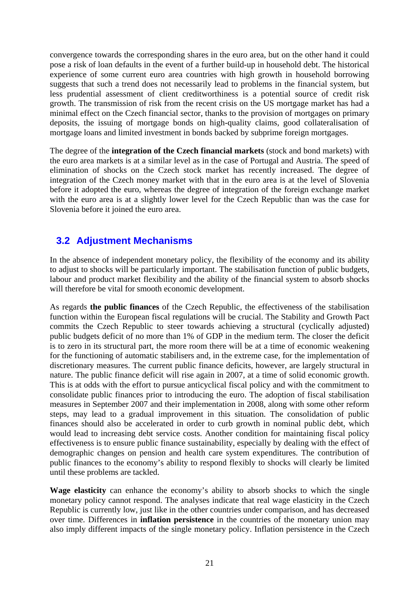convergence towards the corresponding shares in the euro area, but on the other hand it could pose a risk of loan defaults in the event of a further build-up in household debt. The historical experience of some current euro area countries with high growth in household borrowing suggests that such a trend does not necessarily lead to problems in the financial system, but less prudential assessment of client creditworthiness is a potential source of credit risk growth. The transmission of risk from the recent crisis on the US mortgage market has had a minimal effect on the Czech financial sector, thanks to the provision of mortgages on primary deposits, the issuing of mortgage bonds on high-quality claims, good collateralisation of mortgage loans and limited investment in bonds backed by subprime foreign mortgages.

The degree of the **integration of the Czech financial markets** (stock and bond markets) with the euro area markets is at a similar level as in the case of Portugal and Austria. The speed of elimination of shocks on the Czech stock market has recently increased. The degree of integration of the Czech money market with that in the euro area is at the level of Slovenia before it adopted the euro, whereas the degree of integration of the foreign exchange market with the euro area is at a slightly lower level for the Czech Republic than was the case for Slovenia before it joined the euro area.

# **3.2 Adjustment Mechanisms**

In the absence of independent monetary policy, the flexibility of the economy and its ability to adjust to shocks will be particularly important. The stabilisation function of public budgets, labour and product market flexibility and the ability of the financial system to absorb shocks will therefore be vital for smooth economic development.

As regards **the public finances** of the Czech Republic, the effectiveness of the stabilisation function within the European fiscal regulations will be crucial. The Stability and Growth Pact commits the Czech Republic to steer towards achieving a structural (cyclically adjusted) public budgets deficit of no more than 1% of GDP in the medium term. The closer the deficit is to zero in its structural part, the more room there will be at a time of economic weakening for the functioning of automatic stabilisers and, in the extreme case, for the implementation of discretionary measures. The current public finance deficits, however, are largely structural in nature. The public finance deficit will rise again in 2007, at a time of solid economic growth. This is at odds with the effort to pursue anticyclical fiscal policy and with the commitment to consolidate public finances prior to introducing the euro. The adoption of fiscal stabilisation measures in September 2007 and their implementation in 2008, along with some other reform steps, may lead to a gradual improvement in this situation. The consolidation of public finances should also be accelerated in order to curb growth in nominal public debt, which would lead to increasing debt service costs. Another condition for maintaining fiscal policy effectiveness is to ensure public finance sustainability, especially by dealing with the effect of demographic changes on pension and health care system expenditures. The contribution of public finances to the economy's ability to respond flexibly to shocks will clearly be limited until these problems are tackled.

**Wage elasticity** can enhance the economy's ability to absorb shocks to which the single monetary policy cannot respond. The analyses indicate that real wage elasticity in the Czech Republic is currently low, just like in the other countries under comparison, and has decreased over time. Differences in **inflation persistence** in the countries of the monetary union may also imply different impacts of the single monetary policy. Inflation persistence in the Czech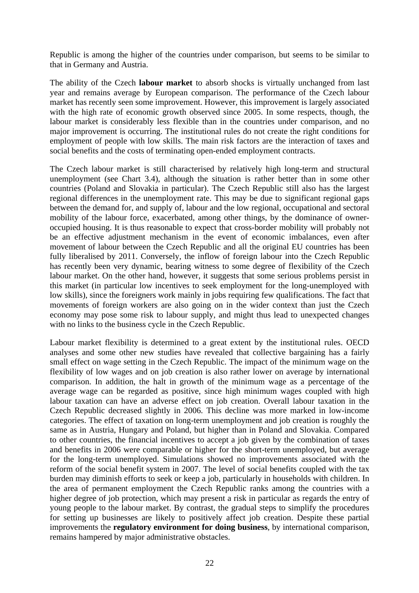Republic is among the higher of the countries under comparison, but seems to be similar to that in Germany and Austria.

The ability of the Czech **labour market** to absorb shocks is virtually unchanged from last year and remains average by European comparison. The performance of the Czech labour market has recently seen some improvement. However, this improvement is largely associated with the high rate of economic growth observed since 2005. In some respects, though, the labour market is considerably less flexible than in the countries under comparison, and no major improvement is occurring. The institutional rules do not create the right conditions for employment of people with low skills. The main risk factors are the interaction of taxes and social benefits and the costs of terminating open-ended employment contracts.

The Czech labour market is still characterised by relatively high long-term and structural unemployment (see Chart 3.4), although the situation is rather better than in some other countries (Poland and Slovakia in particular). The Czech Republic still also has the largest regional differences in the unemployment rate. This may be due to significant regional gaps between the demand for, and supply of, labour and the low regional, occupational and sectoral mobility of the labour force, exacerbated, among other things, by the dominance of owneroccupied housing. It is thus reasonable to expect that cross-border mobility will probably not be an effective adjustment mechanism in the event of economic imbalances, even after movement of labour between the Czech Republic and all the original EU countries has been fully liberalised by 2011. Conversely, the inflow of foreign labour into the Czech Republic has recently been very dynamic, bearing witness to some degree of flexibility of the Czech labour market. On the other hand, however, it suggests that some serious problems persist in this market (in particular low incentives to seek employment for the long-unemployed with low skills), since the foreigners work mainly in jobs requiring few qualifications. The fact that movements of foreign workers are also going on in the wider context than just the Czech economy may pose some risk to labour supply, and might thus lead to unexpected changes with no links to the business cycle in the Czech Republic.

Labour market flexibility is determined to a great extent by the institutional rules. OECD analyses and some other new studies have revealed that collective bargaining has a fairly small effect on wage setting in the Czech Republic. The impact of the minimum wage on the flexibility of low wages and on job creation is also rather lower on average by international comparison. In addition, the halt in growth of the minimum wage as a percentage of the average wage can be regarded as positive, since high minimum wages coupled with high labour taxation can have an adverse effect on job creation. Overall labour taxation in the Czech Republic decreased slightly in 2006. This decline was more marked in low-income categories. The effect of taxation on long-term unemployment and job creation is roughly the same as in Austria, Hungary and Poland, but higher than in Poland and Slovakia. Compared to other countries, the financial incentives to accept a job given by the combination of taxes and benefits in 2006 were comparable or higher for the short-term unemployed, but average for the long-term unemployed. Simulations showed no improvements associated with the reform of the social benefit system in 2007. The level of social benefits coupled with the tax burden may diminish efforts to seek or keep a job, particularly in households with children. In the area of permanent employment the Czech Republic ranks among the countries with a higher degree of job protection, which may present a risk in particular as regards the entry of young people to the labour market. By contrast, the gradual steps to simplify the procedures for setting up businesses are likely to positively affect job creation. Despite these partial improvements the **regulatory environment for doing business**, by international comparison, remains hampered by major administrative obstacles.